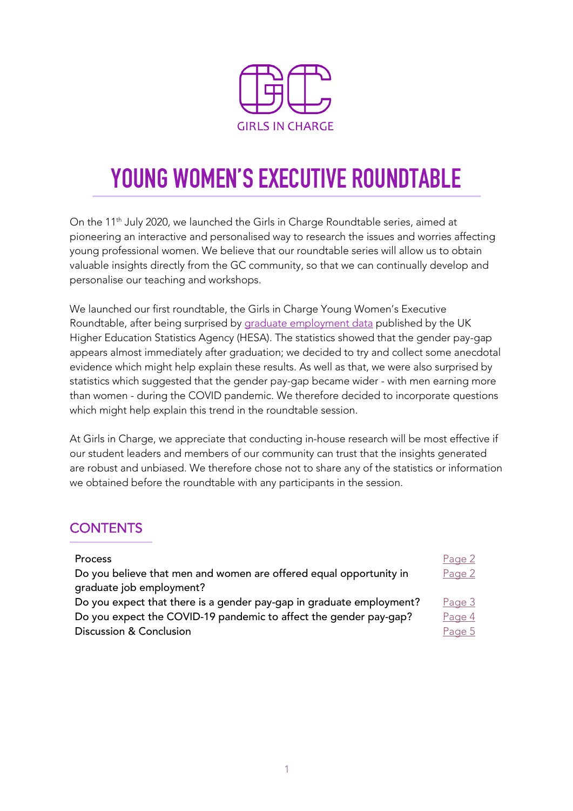

# **YOUNG WOMEN'S EXECUTIVE ROUNDTABLE**

On the 11<sup>th</sup> July 2020, we launched the Girls in Charge Roundtable series, aimed at pioneering an interactive and personalised way to research the issues and worries affecting young professional women. We believe that our roundtable series will allow us to obtain valuable insights directly from the GC community, so that we can continually develop and personalise our teaching and workshops.

We launched our first roundtable, the Girls in Charge Young Women's Executive Roundtable, after being surprised by graduate employment data published by the UK Higher Education Statistics Agency (HESA). The statistics showed that the gender pay-gap appears almost immediately after graduation; we decided to try and collect some anecdotal evidence which might help explain these results. As well as that, we were also surprised by statistics which suggested that the gender pay-gap became wider - with men earning more than women - during the COVID pandemic. We therefore decided to incorporate questions which might help explain this trend in the roundtable session.

At Girls in Charge, we appreciate that conducting in-house research will be most effective if our student leaders and members of our community can trust that the insights generated are robust and unbiased. We therefore chose not to share any of the statistics or information we obtained before the roundtable with any participants in the session.

### **CONTENTS**

| <b>Process</b>                                                       | Page 2 |
|----------------------------------------------------------------------|--------|
| Do you believe that men and women are offered equal opportunity in   | Page 2 |
| graduate job employment?                                             |        |
| Do you expect that there is a gender pay-gap in graduate employment? | Page 3 |
| Do you expect the COVID-19 pandemic to affect the gender pay-gap?    | Page 4 |
| <b>Discussion &amp; Conclusion</b>                                   | Page 5 |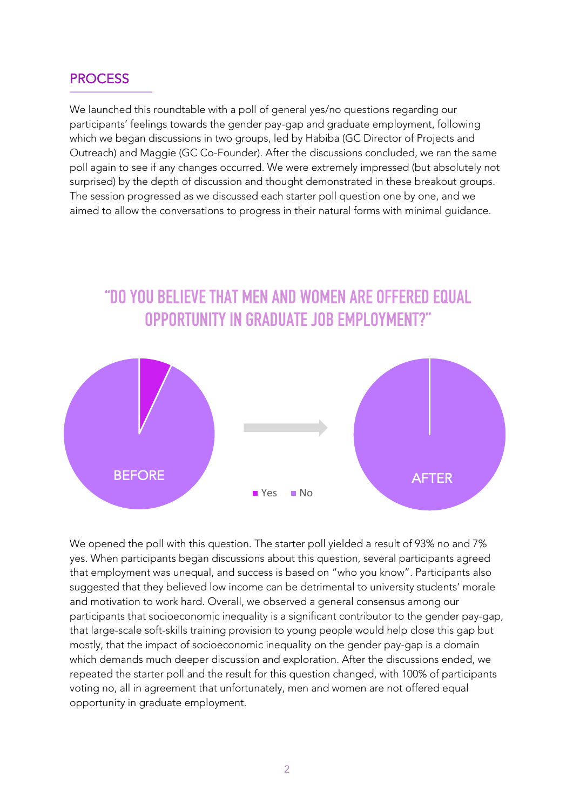#### **PROCESS**

I

We launched this roundtable with a poll of general yes/no questions regarding our participants' feelings towards the gender pay-gap and graduate employment, following which we began discussions in two groups, led by Habiba (GC Director of Projects and Outreach) and Maggie (GC Co-Founder). After the discussions concluded, we ran the same poll again to see if any changes occurred. We were extremely impressed (but absolutely not surprised) by the depth of discussion and thought demonstrated in these breakout groups. The session progressed as we discussed each starter poll question one by one, and we aimed to allow the conversations to progress in their natural forms with minimal guidance.



We opened the poll with this question. The starter poll yielded a result of 93% no and 7% yes. When participants began discussions about this question, several participants agreed that employment was unequal, and success is based on "who you know". Participants also suggested that they believed low income can be detrimental to university students' morale and motivation to work hard. Overall, we observed a general consensus among our participants that socioeconomic inequality is a significant contributor to the gender pay-gap, that large-scale soft-skills training provision to young people would help close this gap but mostly, that the impact of socioeconomic inequality on the gender pay-gap is a domain which demands much deeper discussion and exploration. After the discussions ended, we repeated the starter poll and the result for this question changed, with 100% of participants voting no, all in agreement that unfortunately, men and women are not offered equal opportunity in graduate employment.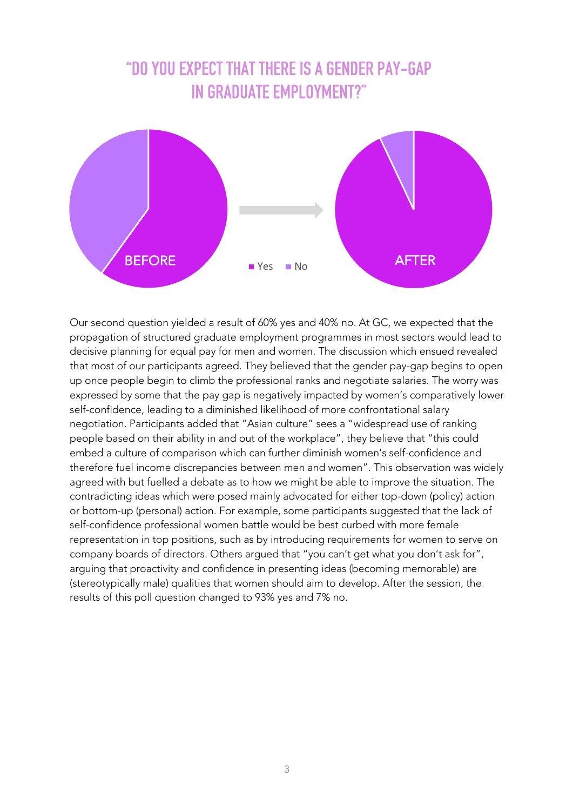# **"DO YOU EXPECT THAT THERE IS A GENDER PAY-GAP IN GRADUATE EMPLOYMENT?"**



Our second question yielded a result of 60% yes and 40% no. At GC, we expected that the propagation of structured graduate employment programmes in most sectors would lead to decisive planning for equal pay for men and women. The discussion which ensued revealed that most of our participants agreed. They believed that the gender pay-gap begins to open up once people begin to climb the professional ranks and negotiate salaries. The worry was expressed by some that the pay gap is negatively impacted by women's comparatively lower self-confidence, leading to a diminished likelihood of more confrontational salary negotiation. Participants added that "Asian culture" sees a "widespread use of ranking people based on their ability in and out of the workplace", they believe that "this could embed a culture of comparison which can further diminish women's self-confidence and therefore fuel income discrepancies between men and women". This observation was widely agreed with but fuelled a debate as to how we might be able to improve the situation. The contradicting ideas which were posed mainly advocated for either top-down (policy) action or bottom-up (personal) action. For example, some participants suggested that the lack of self-confidence professional women battle would be best curbed with more female representation in top positions, such as by introducing requirements for women to serve on company boards of directors. Others argued that "you can't get what you don't ask for", arguing that proactivity and confidence in presenting ideas (becoming memorable) are (stereotypically male) qualities that women should aim to develop. After the session, the results of this poll question changed to 93% yes and 7% no.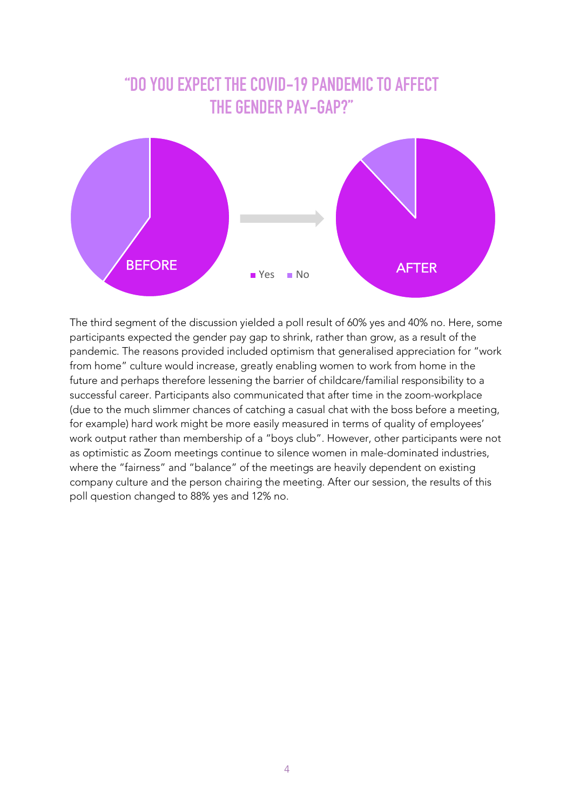# **"DO YOU EXPECT THE COVID-19 PANDEMIC TO AFFECT THE GENDER PAY-GAP?"**



The third segment of the discussion yielded a poll result of 60% yes and 40% no. Here, some participants expected the gender pay gap to shrink, rather than grow, as a result of the pandemic. The reasons provided included optimism that generalised appreciation for "work from home" culture would increase, greatly enabling women to work from home in the future and perhaps therefore lessening the barrier of childcare/familial responsibility to a successful career. Participants also communicated that after time in the zoom-workplace (due to the much slimmer chances of catching a casual chat with the boss before a meeting, for example) hard work might be more easily measured in terms of quality of employees' work output rather than membership of a "boys club". However, other participants were not as optimistic as Zoom meetings continue to silence women in male-dominated industries, where the "fairness" and "balance" of the meetings are heavily dependent on existing company culture and the person chairing the meeting. After our session, the results of this poll question changed to 88% yes and 12% no.